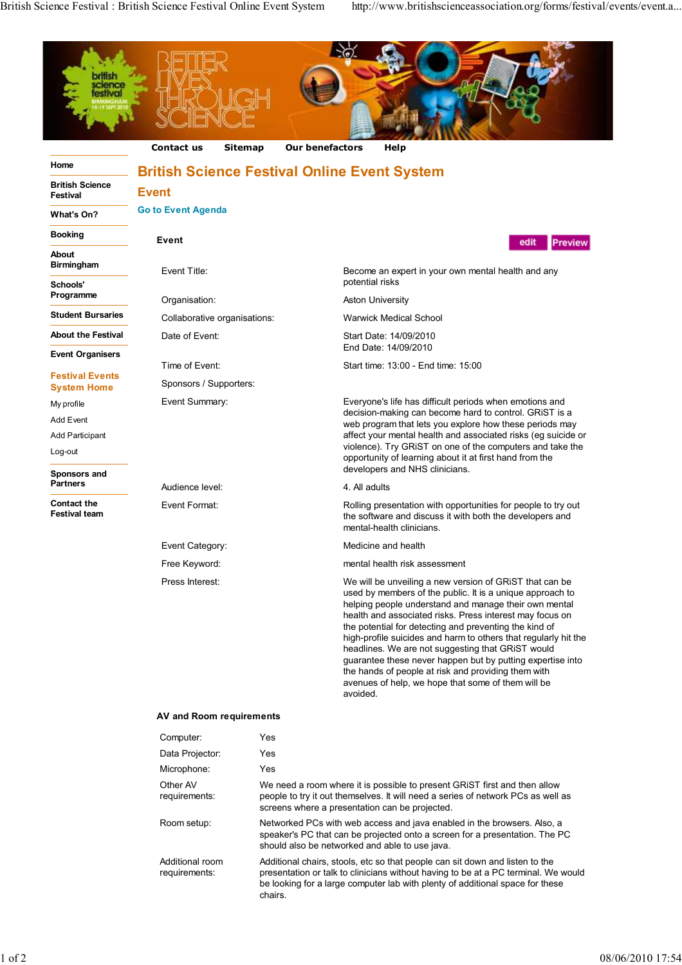

Additional room requirements: Additional chairs, stools, etc so that people can sit down and listen to the presentation or talk to clinicians without having to be at a PC terminal. We would be looking for a large computer lab with plenty of additional space for these chairs.